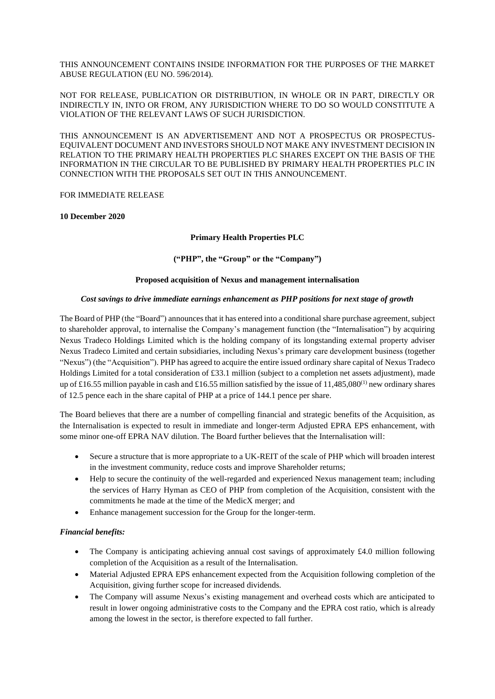THIS ANNOUNCEMENT CONTAINS INSIDE INFORMATION FOR THE PURPOSES OF THE MARKET ABUSE REGULATION (EU NO. 596/2014).

NOT FOR RELEASE, PUBLICATION OR DISTRIBUTION, IN WHOLE OR IN PART, DIRECTLY OR INDIRECTLY IN, INTO OR FROM, ANY JURISDICTION WHERE TO DO SO WOULD CONSTITUTE A VIOLATION OF THE RELEVANT LAWS OF SUCH JURISDICTION.

THIS ANNOUNCEMENT IS AN ADVERTISEMENT AND NOT A PROSPECTUS OR PROSPECTUS-EQUIVALENT DOCUMENT AND INVESTORS SHOULD NOT MAKE ANY INVESTMENT DECISION IN RELATION TO THE PRIMARY HEALTH PROPERTIES PLC SHARES EXCEPT ON THE BASIS OF THE INFORMATION IN THE CIRCULAR TO BE PUBLISHED BY PRIMARY HEALTH PROPERTIES PLC IN CONNECTION WITH THE PROPOSALS SET OUT IN THIS ANNOUNCEMENT.

#### FOR IMMEDIATE RELEASE

#### **10 December 2020**

## **Primary Health Properties PLC**

## **("PHP", the "Group" or the "Company")**

## **Proposed acquisition of Nexus and management internalisation**

#### *Cost savings to drive immediate earnings enhancement as PHP positions for next stage of growth*

The Board of PHP (the "Board") announces that it has entered into a conditional share purchase agreement, subject to shareholder approval, to internalise the Company's management function (the "Internalisation") by acquiring Nexus Tradeco Holdings Limited which is the holding company of its longstanding external property adviser Nexus Tradeco Limited and certain subsidiaries, including Nexus's primary care development business (together "Nexus") (the "Acquisition"). PHP has agreed to acquire the entire issued ordinary share capital of Nexus Tradeco Holdings Limited for a total consideration of £33.1 million (subject to a completion net assets adjustment), made up of £16.55 million payable in cash and £16.55 million satisfied by the issue of 11,485,080<sup>(1)</sup> new ordinary shares of 12.5 pence each in the share capital of PHP at a price of 144.1 pence per share.

The Board believes that there are a number of compelling financial and strategic benefits of the Acquisition, as the Internalisation is expected to result in immediate and longer-term Adjusted EPRA EPS enhancement, with some minor one-off EPRA NAV dilution. The Board further believes that the Internalisation will:

- Secure a structure that is more appropriate to a UK-REIT of the scale of PHP which will broaden interest in the investment community, reduce costs and improve Shareholder returns;
- Help to secure the continuity of the well-regarded and experienced Nexus management team; including the services of Harry Hyman as CEO of PHP from completion of the Acquisition, consistent with the commitments he made at the time of the MedicX merger; and
- Enhance management succession for the Group for the longer-term.

# *Financial benefits:*

- The Company is anticipating achieving annual cost savings of approximately £4.0 million following completion of the Acquisition as a result of the Internalisation.
- Material Adjusted EPRA EPS enhancement expected from the Acquisition following completion of the Acquisition, giving further scope for increased dividends.
- The Company will assume Nexus's existing management and overhead costs which are anticipated to result in lower ongoing administrative costs to the Company and the EPRA cost ratio, which is already among the lowest in the sector, is therefore expected to fall further.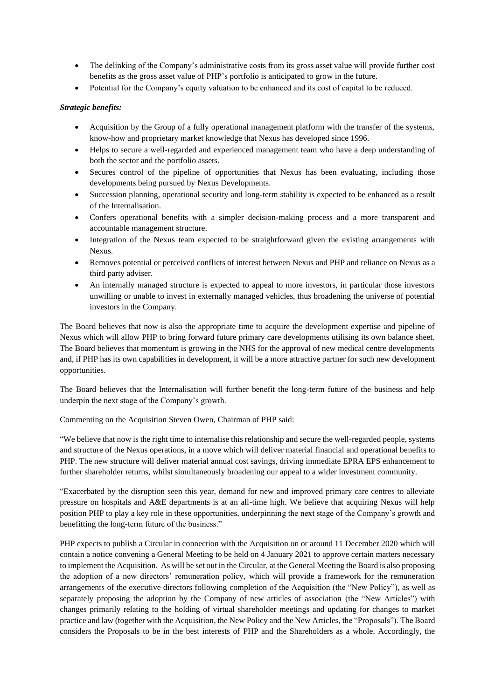- The delinking of the Company's administrative costs from its gross asset value will provide further cost benefits as the gross asset value of PHP's portfolio is anticipated to grow in the future.
- Potential for the Company's equity valuation to be enhanced and its cost of capital to be reduced.

### *Strategic benefits:*

- Acquisition by the Group of a fully operational management platform with the transfer of the systems, know-how and proprietary market knowledge that Nexus has developed since 1996.
- Helps to secure a well-regarded and experienced management team who have a deep understanding of both the sector and the portfolio assets.
- Secures control of the pipeline of opportunities that Nexus has been evaluating, including those developments being pursued by Nexus Developments.
- Succession planning, operational security and long-term stability is expected to be enhanced as a result of the Internalisation.
- Confers operational benefits with a simpler decision-making process and a more transparent and accountable management structure.
- Integration of the Nexus team expected to be straightforward given the existing arrangements with Nexus.
- Removes potential or perceived conflicts of interest between Nexus and PHP and reliance on Nexus as a third party adviser.
- An internally managed structure is expected to appeal to more investors, in particular those investors unwilling or unable to invest in externally managed vehicles, thus broadening the universe of potential investors in the Company.

The Board believes that now is also the appropriate time to acquire the development expertise and pipeline of Nexus which will allow PHP to bring forward future primary care developments utilising its own balance sheet. The Board believes that momentum is growing in the NHS for the approval of new medical centre developments and, if PHP has its own capabilities in development, it will be a more attractive partner for such new development opportunities.

The Board believes that the Internalisation will further benefit the long-term future of the business and help underpin the next stage of the Company's growth.

Commenting on the Acquisition Steven Owen, Chairman of PHP said:

"We believe that now is the right time to internalise this relationship and secure the well-regarded people, systems and structure of the Nexus operations, in a move which will deliver material financial and operational benefits to PHP. The new structure will deliver material annual cost savings, driving immediate EPRA EPS enhancement to further shareholder returns, whilst simultaneously broadening our appeal to a wider investment community.

"Exacerbated by the disruption seen this year, demand for new and improved primary care centres to alleviate pressure on hospitals and A&E departments is at an all-time high. We believe that acquiring Nexus will help position PHP to play a key role in these opportunities, underpinning the next stage of the Company's growth and benefitting the long-term future of the business."

PHP expects to publish a Circular in connection with the Acquisition on or around 11 December 2020 which will contain a notice convening a General Meeting to be held on 4 January 2021 to approve certain matters necessary to implement the Acquisition. As will be set out in the Circular, at the General Meeting the Board is also proposing the adoption of a new directors' remuneration policy, which will provide a framework for the remuneration arrangements of the executive directors following completion of the Acquisition (the "New Policy"), as well as separately proposing the adoption by the Company of new articles of association (the "New Articles") with changes primarily relating to the holding of virtual shareholder meetings and updating for changes to market practice and law (together with the Acquisition, the New Policy and the New Articles, the "Proposals"). The Board considers the Proposals to be in the best interests of PHP and the Shareholders as a whole. Accordingly, the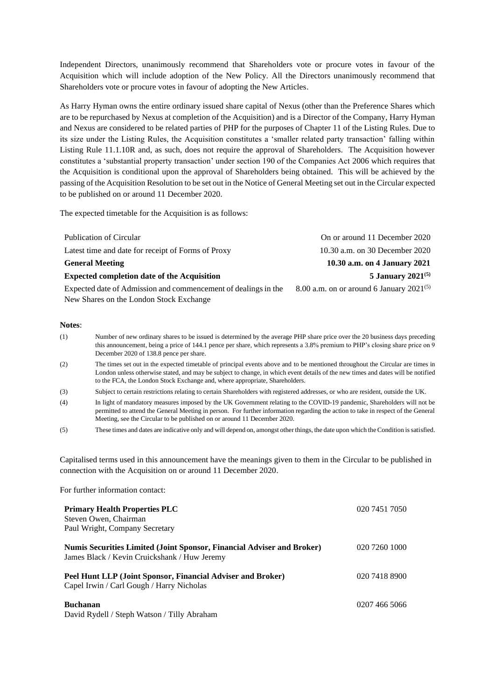Independent Directors, unanimously recommend that Shareholders vote or procure votes in favour of the Acquisition which will include adoption of the New Policy. All the Directors unanimously recommend that Shareholders vote or procure votes in favour of adopting the New Articles.

As Harry Hyman owns the entire ordinary issued share capital of Nexus (other than the Preference Shares which are to be repurchased by Nexus at completion of the Acquisition) and is a Director of the Company, Harry Hyman and Nexus are considered to be related parties of PHP for the purposes of Chapter 11 of the Listing Rules. Due to its size under the Listing Rules, the Acquisition constitutes a 'smaller related party transaction' falling within Listing Rule 11.1.10R and, as such, does not require the approval of Shareholders. The Acquisition however constitutes a 'substantial property transaction' under section 190 of the Companies Act 2006 which requires that the Acquisition is conditional upon the approval of Shareholders being obtained. This will be achieved by the passing of the Acquisition Resolution to be set out in the Notice of General Meeting set out in the Circular expected to be published on or around 11 December 2020.

The expected timetable for the Acquisition is as follows:

| Publication of Circular                                        | On or around 11 December 2020                 |
|----------------------------------------------------------------|-----------------------------------------------|
| Latest time and date for receipt of Forms of Proxy             | 10.30 a.m. on 30 December 2020                |
| <b>General Meeting</b>                                         | 10.30 a.m. on 4 January 2021                  |
| <b>Expected completion date of the Acquisition</b>             | 5 January $2021^{(5)}$                        |
| Expected date of Admission and commencement of dealings in the | 8.00 a.m. on or around 6 January $2021^{(5)}$ |
| New Shares on the London Stock Exchange                        |                                               |

#### **Notes**:

| (1) | Number of new ordinary shares to be issued is determined by the average PHP share price over the 20 business days preceding<br>this announcement, being a price of 144.1 pence per share, which represents a 3.8% premium to PHP's closing share price on 9<br>December 2020 of 138.8 pence per share.                                            |
|-----|---------------------------------------------------------------------------------------------------------------------------------------------------------------------------------------------------------------------------------------------------------------------------------------------------------------------------------------------------|
| (2) | The times set out in the expected timetable of principal events above and to be mentioned throughout the Circular are times in<br>London unless otherwise stated, and may be subject to change, in which event details of the new times and dates will be notified<br>to the FCA, the London Stock Exchange and, where appropriate, Shareholders. |
| (3) | Subject to certain restrictions relating to certain Shareholders with registered addresses, or who are resident, outside the UK.                                                                                                                                                                                                                  |
| (4) | In light of mandatory measures imposed by the UK Government relating to the COVID-19 pandemic, Shareholders will not be<br>permitted to attend the General Meeting in person. For further information regarding the action to take in respect of the General<br>Meeting, see the Circular to be published on or around 11 December 2020.          |
| (5) | These times and dates are indicative only and will depend on, amongst other things, the date upon which the Condition is satisfied.                                                                                                                                                                                                               |

Capitalised terms used in this announcement have the meanings given to them in the Circular to be published in connection with the Acquisition on or around 11 December 2020.

For further information contact:

| <b>Primary Health Properties PLC</b><br>Steven Owen, Chairman<br>Paul Wright, Company Secretary                               | 020 7451 7050 |
|-------------------------------------------------------------------------------------------------------------------------------|---------------|
| <b>Numis Securities Limited (Joint Sponsor, Financial Adviser and Broker)</b><br>James Black / Kevin Cruickshank / Huw Jeremy | 020 7260 1000 |
| Peel Hunt LLP (Joint Sponsor, Financial Adviser and Broker)<br>Capel Irwin / Carl Gough / Harry Nicholas                      | 020 7418 8900 |
| <b>Buchanan</b><br>David Rydell / Steph Watson / Tilly Abraham                                                                | 0207 466 5066 |